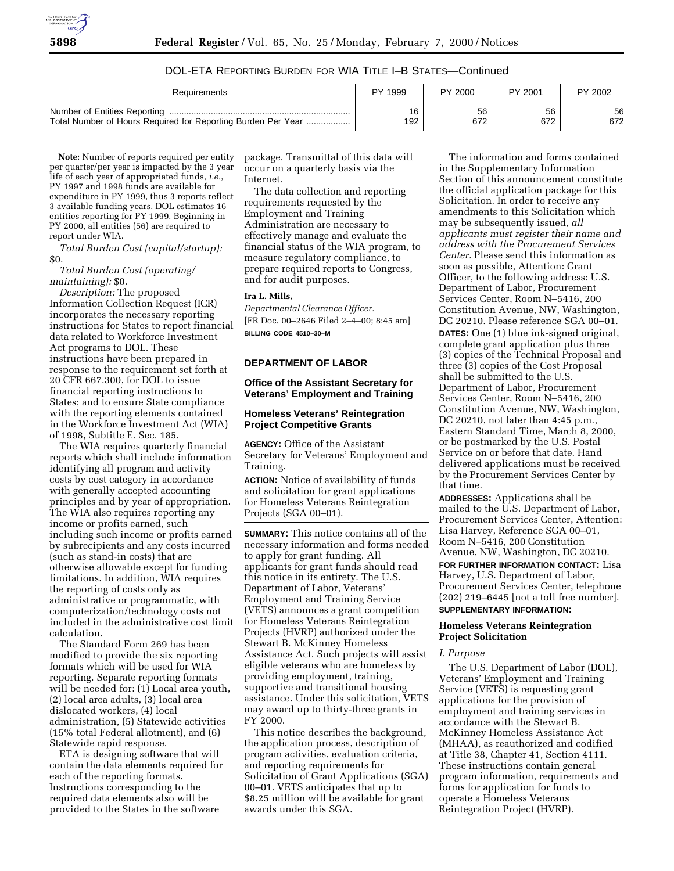

## DOL-ETA REPORTING BURDEN FOR WIA TITLE I–B STATES—Continued

| Requirements                                                 | PY 1999 | PY 2000 | PY 2001 | PY 2002 |
|--------------------------------------------------------------|---------|---------|---------|---------|
|                                                              | 16      | 56      | 56      | 56      |
| Total Number of Hours Required for Reporting Burden Per Year | 192     | 672     | 672     | 672     |

**Note:** Number of reports required per entity per quarter/per year is impacted by the 3 year life of each year of appropriated funds, *i.e.*, PY 1997 and 1998 funds are available for expenditure in PY 1999, thus 3 reports reflect 3 available funding years. DOL estimates 16 entities reporting for PY 1999. Beginning in PY 2000, all entities (56) are required to report under WIA.

*Total Burden Cost (capital/startup):* \$0.

*Total Burden Cost (operating/ maintaining):* \$0.

*Description:* The proposed Information Collection Request (ICR) incorporates the necessary reporting instructions for States to report financial data related to Workforce Investment Act programs to DOL. These instructions have been prepared in response to the requirement set forth at 20 CFR 667.300, for DOL to issue financial reporting instructions to States; and to ensure State compliance with the reporting elements contained in the Workforce Investment Act (WIA) of 1998, Subtitle E. Sec. 185.

The WIA requires quarterly financial reports which shall include information identifying all program and activity costs by cost category in accordance with generally accepted accounting principles and by year of appropriation. The WIA also requires reporting any income or profits earned, such including such income or profits earned by subrecipients and any costs incurred (such as stand-in costs) that are otherwise allowable except for funding limitations. In addition, WIA requires the reporting of costs only as administrative or programmatic, with computerization/technology costs not included in the administrative cost limit calculation.

The Standard Form 269 has been modified to provide the six reporting formats which will be used for WIA reporting. Separate reporting formats will be needed for: (1) Local area youth, (2) local area adults, (3) local area dislocated workers, (4) local administration, (5) Statewide activities (15% total Federal allotment), and (6) Statewide rapid response.

ETA is designing software that will contain the data elements required for each of the reporting formats. Instructions corresponding to the required data elements also will be provided to the States in the software

package. Transmittal of this data will occur on a quarterly basis via the Internet.

The data collection and reporting requirements requested by the Employment and Training Administration are necessary to effectively manage and evaluate the financial status of the WIA program, to measure regulatory compliance, to prepare required reports to Congress, and for audit purposes.

#### **Ira L. Mills,**

*Departmental Clearance Officer.* [FR Doc. 00–2646 Filed 2–4–00; 8:45 am] **BILLING CODE 4510–30–M**

**DEPARTMENT OF LABOR**

### **Office of the Assistant Secretary for Veterans' Employment and Training**

#### **Homeless Veterans' Reintegration Project Competitive Grants**

**AGENCY:** Office of the Assistant Secretary for Veterans' Employment and Training.

**ACTION:** Notice of availability of funds and solicitation for grant applications for Homeless Veterans Reintegration Projects (SGA 00–01).

**SUMMARY:** This notice contains all of the necessary information and forms needed to apply for grant funding. All applicants for grant funds should read this notice in its entirety. The U.S. Department of Labor, Veterans' Employment and Training Service (VETS) announces a grant competition for Homeless Veterans Reintegration Projects (HVRP) authorized under the Stewart B. McKinney Homeless Assistance Act. Such projects will assist eligible veterans who are homeless by providing employment, training, supportive and transitional housing assistance. Under this solicitation, VETS may award up to thirty-three grants in FY 2000.

This notice describes the background, the application process, description of program activities, evaluation criteria, and reporting requirements for Solicitation of Grant Applications (SGA) 00–01. VETS anticipates that up to \$8.25 million will be available for grant awards under this SGA.

The information and forms contained in the Supplementary Information Section of this announcement constitute the official application package for this Solicitation. In order to receive any amendments to this Solicitation which may be subsequently issued, *all applicants must register their name and address with the Procurement Services Center.* Please send this information as soon as possible, Attention: Grant Officer, to the following address: U.S. Department of Labor, Procurement Services Center, Room N–5416, 200 Constitution Avenue, NW, Washington, DC 20210. Please reference SGA 00–01. **DATES:** One (1) blue ink-signed original, complete grant application plus three (3) copies of the Technical Proposal and three (3) copies of the Cost Proposal shall be submitted to the U.S. Department of Labor, Procurement Services Center, Room N–5416, 200 Constitution Avenue, NW, Washington, DC 20210, not later than 4:45 p.m., Eastern Standard Time, March 8, 2000, or be postmarked by the U.S. Postal Service on or before that date. Hand delivered applications must be received by the Procurement Services Center by that time.

**ADDRESSES:** Applications shall be mailed to the U.S. Department of Labor, Procurement Services Center, Attention: Lisa Harvey, Reference SGA 00–01, Room N–5416, 200 Constitution Avenue, NW, Washington, DC 20210.

**FOR FURTHER INFORMATION CONTACT:** Lisa Harvey, U.S. Department of Labor, Procurement Services Center, telephone (202) 219–6445 [not a toll free number]. **SUPPLEMENTARY INFORMATION:**

### **Homeless Veterans Reintegration Project Solicitation**

## *I. Purpose*

The U.S. Department of Labor (DOL), Veterans' Employment and Training Service (VETS) is requesting grant applications for the provision of employment and training services in accordance with the Stewart B. McKinney Homeless Assistance Act (MHAA), as reauthorized and codified at Title 38, Chapter 41, Section 4111. These instructions contain general program information, requirements and forms for application for funds to operate a Homeless Veterans Reintegration Project (HVRP).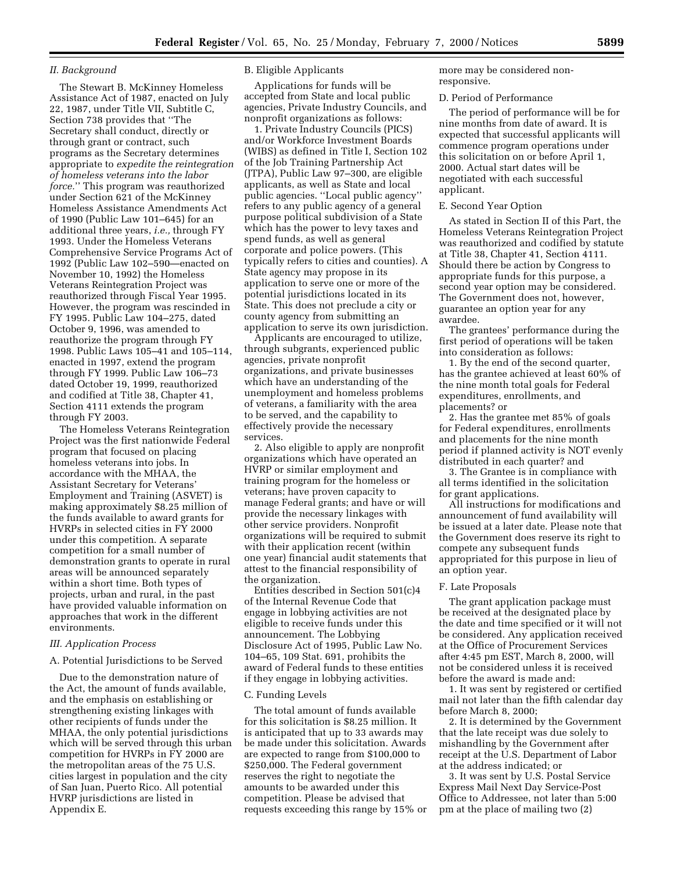## *II. Background*

The Stewart B. McKinney Homeless Assistance Act of 1987, enacted on July 22, 1987, under Title VII, Subtitle C, Section 738 provides that ''The Secretary shall conduct, directly or through grant or contract, such programs as the Secretary determines appropriate to *expedite the reintegration of homeless veterans into the labor force.*'' This program was reauthorized under Section 621 of the McKinney Homeless Assistance Amendments Act of 1990 (Public Law 101–645) for an additional three years, *i.e.,* through FY 1993. Under the Homeless Veterans Comprehensive Service Programs Act of 1992 (Public Law 102–590—enacted on November 10, 1992) the Homeless Veterans Reintegration Project was reauthorized through Fiscal Year 1995. However, the program was rescinded in FY 1995. Public Law 104–275, dated October 9, 1996, was amended to reauthorize the program through FY 1998. Public Laws 105–41 and 105–114, enacted in 1997, extend the program through FY 1999. Public Law 106–73 dated October 19, 1999, reauthorized and codified at Title 38, Chapter 41, Section 4111 extends the program through FY 2003.

The Homeless Veterans Reintegration Project was the first nationwide Federal program that focused on placing homeless veterans into jobs. In accordance with the MHAA, the Assistant Secretary for Veterans' Employment and Training (ASVET) is making approximately \$8.25 million of the funds available to award grants for HVRPs in selected cities in FY 2000 under this competition. A separate competition for a small number of demonstration grants to operate in rural areas will be announced separately within a short time. Both types of projects, urban and rural, in the past have provided valuable information on approaches that work in the different environments.

### *III. Application Process*

#### A. Potential Jurisdictions to be Served

Due to the demonstration nature of the Act, the amount of funds available, and the emphasis on establishing or strengthening existing linkages with other recipients of funds under the MHAA, the only potential jurisdictions which will be served through this urban competition for HVRPs in FY 2000 are the metropolitan areas of the 75 U.S. cities largest in population and the city of San Juan, Puerto Rico. All potential HVRP jurisdictions are listed in Appendix E.

## B. Eligible Applicants

Applications for funds will be accepted from State and local public agencies, Private Industry Councils, and nonprofit organizations as follows:

1. Private Industry Councils (PICS) and/or Workforce Investment Boards (WIBS) as defined in Title I, Section 102 of the Job Training Partnership Act (JTPA), Public Law 97–300, are eligible applicants, as well as State and local public agencies. ''Local public agency'' refers to any public agency of a general purpose political subdivision of a State which has the power to levy taxes and spend funds, as well as general corporate and police powers. (This typically refers to cities and counties). A State agency may propose in its application to serve one or more of the potential jurisdictions located in its State. This does not preclude a city or county agency from submitting an application to serve its own jurisdiction.

Applicants are encouraged to utilize, through subgrants, experienced public agencies, private nonprofit organizations, and private businesses which have an understanding of the unemployment and homeless problems of veterans, a familiarity with the area to be served, and the capability to effectively provide the necessary services.

2. Also eligible to apply are nonprofit organizations which have operated an HVRP or similar employment and training program for the homeless or veterans; have proven capacity to manage Federal grants; and have or will provide the necessary linkages with other service providers. Nonprofit organizations will be required to submit with their application recent (within one year) financial audit statements that attest to the financial responsibility of the organization.

Entities described in Section 501(c)4 of the Internal Revenue Code that engage in lobbying activities are not eligible to receive funds under this announcement. The Lobbying Disclosure Act of 1995, Public Law No. 104–65, 109 Stat. 691, prohibits the award of Federal funds to these entities if they engage in lobbying activities.

#### C. Funding Levels

The total amount of funds available for this solicitation is \$8.25 million. It is anticipated that up to 33 awards may be made under this solicitation. Awards are expected to range from \$100,000 to \$250,000. The Federal government reserves the right to negotiate the amounts to be awarded under this competition. Please be advised that requests exceeding this range by 15% or more may be considered nonresponsive.

### D. Period of Performance

The period of performance will be for nine months from date of award. It is expected that successful applicants will commence program operations under this solicitation on or before April 1, 2000. Actual start dates will be negotiated with each successful applicant.

#### E. Second Year Option

As stated in Section II of this Part, the Homeless Veterans Reintegration Project was reauthorized and codified by statute at Title 38, Chapter 41, Section 4111. Should there be action by Congress to appropriate funds for this purpose, a second year option may be considered. The Government does not, however, guarantee an option year for any awardee.

The grantees' performance during the first period of operations will be taken into consideration as follows:

1. By the end of the second quarter, has the grantee achieved at least 60% of the nine month total goals for Federal expenditures, enrollments, and placements? or

2. Has the grantee met 85% of goals for Federal expenditures, enrollments and placements for the nine month period if planned activity is NOT evenly distributed in each quarter? and

3. The Grantee is in compliance with all terms identified in the solicitation for grant applications.

All instructions for modifications and announcement of fund availability will be issued at a later date. Please note that the Government does reserve its right to compete any subsequent funds appropriated for this purpose in lieu of an option year.

#### F. Late Proposals

The grant application package must be received at the designated place by the date and time specified or it will not be considered. Any application received at the Office of Procurement Services after 4:45 pm EST, March 8, 2000, will not be considered unless it is received before the award is made and:

1. It was sent by registered or certified mail not later than the fifth calendar day before March 8, 2000;

2. It is determined by the Government that the late receipt was due solely to mishandling by the Government after receipt at the U.S. Department of Labor at the address indicated; or

3. It was sent by U.S. Postal Service Express Mail Next Day Service-Post Office to Addressee, not later than 5:00 pm at the place of mailing two (2)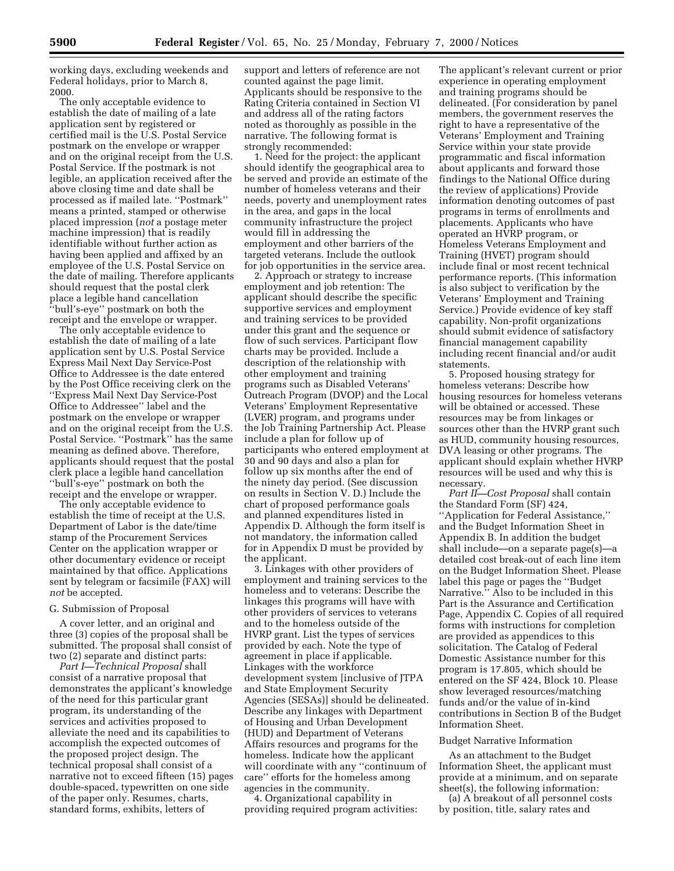working days, excluding weekends and Federal holidays, prior to March 8, 2000.

The only acceptable evidence to establish the date of mailing of a late application sent by registered or certified mail is the U.S. Postal Service postmark on the envelope or wrapper and on the original receipt from the U.S. Postal Service. If the postmark is not legible, an application received after the above closing time and date shall be processed as if mailed late. ''Postmark'' means a printed, stamped or otherwise placed impression (*not* a postage meter machine impression) that is readily identifiable without further action as having been applied and affixed by an employee of the U.S. Postal Service on the date of mailing. Therefore applicants should request that the postal clerk place a legible hand cancellation ''bull's-eye'' postmark on both the receipt and the envelope or wrapper.

The only acceptable evidence to establish the date of mailing of a late application sent by U.S. Postal Service Express Mail Next Day Service-Post Office to Addressee is the date entered by the Post Office receiving clerk on the ''Express Mail Next Day Service-Post Office to Addressee'' label and the postmark on the envelope or wrapper and on the original receipt from the U.S. Postal Service. ''Postmark'' has the same meaning as defined above. Therefore, applicants should request that the postal clerk place a legible hand cancellation ''bull's-eye'' postmark on both the receipt and the envelope or wrapper.

The only acceptable evidence to establish the time of receipt at the U.S. Department of Labor is the date/time stamp of the Procurement Services Center on the application wrapper or other documentary evidence or receipt maintained by that office. Applications sent by telegram or facsimile (FAX) will *not* be accepted.

## G. Submission of Proposal

A cover letter, and an original and three (3) copies of the proposal shall be submitted. The proposal shall consist of two (2) separate and distinct parts:

*Part I—Technical Proposal* shall consist of a narrative proposal that demonstrates the applicant's knowledge of the need for this particular grant program, its understanding of the services and activities proposed to alleviate the need and its capabilities to accomplish the expected outcomes of the proposed project design. The technical proposal shall consist of a narrative not to exceed fifteen (15) pages double-spaced, typewritten on one side of the paper only. Resumes, charts, standard forms, exhibits, letters of

support and letters of reference are not counted against the page limit. Applicants should be responsive to the Rating Criteria contained in Section VI and address all of the rating factors noted as thoroughly as possible in the narrative. The following format is strongly recommended:

1. Need for the project: the applicant should identify the geographical area to be served and provide an estimate of the number of homeless veterans and their needs, poverty and unemployment rates in the area, and gaps in the local community infrastructure the project would fill in addressing the employment and other barriers of the targeted veterans. Include the outlook for job opportunities in the service area.

2. Approach or strategy to increase employment and job retention: The applicant should describe the specific supportive services and employment and training services to be provided under this grant and the sequence or flow of such services. Participant flow charts may be provided. Include a description of the relationship with other employment and training programs such as Disabled Veterans' Outreach Program (DVOP) and the Local Veterans' Employment Representative (LVER) program, and programs under the Job Training Partnership Act. Please include a plan for follow up of participants who entered employment at 30 and 90 days and also a plan for follow up six months after the end of the ninety day period. (See discussion on results in Section V. D.) Include the chart of proposed performance goals and planned expenditures listed in Appendix D. Although the form itself is not mandatory, the information called for in Appendix D must be provided by the applicant.

3. Linkages with other providers of employment and training services to the homeless and to veterans: Describe the linkages this programs will have with other providers of services to veterans and to the homeless outside of the HVRP grant. List the types of services provided by each. Note the type of agreement in place if applicable. Linkages with the workforce development system [inclusive of JTPA and State Employment Security Agencies (SESAs)] should be delineated. Describe any linkages with Department of Housing and Urban Development (HUD) and Department of Veterans Affairs resources and programs for the homeless. Indicate how the applicant will coordinate with any ''continuum of care'' efforts for the homeless among agencies in the community.

4. Organizational capability in providing required program activities:

The applicant's relevant current or prior experience in operating employment and training programs should be delineated. (For consideration by panel members, the government reserves the right to have a representative of the Veterans' Employment and Training Service within your state provide programmatic and fiscal information about applicants and forward those findings to the National Office during the review of applications) Provide information denoting outcomes of past programs in terms of enrollments and placements. Applicants who have operated an HVRP program, or Homeless Veterans Employment and Training (HVET) program should include final or most recent technical performance reports. (This information is also subject to verification by the Veterans' Employment and Training Service.) Provide evidence of key staff capability. Non-profit organizations should submit evidence of satisfactory financial management capability including recent financial and/or audit statements.

5. Proposed housing strategy for homeless veterans: Describe how housing resources for homeless veterans will be obtained or accessed. These resources may be from linkages or sources other than the HVRP grant such as HUD, community housing resources, DVA leasing or other programs. The applicant should explain whether HVRP resources will be used and why this is necessary.

*Part II—Cost Proposal* shall contain the Standard Form (SF) 424, ''Application for Federal Assistance,'' and the Budget Information Sheet in Appendix B. In addition the budget shall include—on a separate page(s)—a detailed cost break-out of each line item on the Budget Information Sheet. Please label this page or pages the ''Budget Narrative.'' Also to be included in this Part is the Assurance and Certification Page, Appendix C. Copies of all required forms with instructions for completion are provided as appendices to this solicitation. The Catalog of Federal Domestic Assistance number for this program is 17.805, which should be entered on the SF 424, Block 10. Please show leveraged resources/matching funds and/or the value of in-kind contributions in Section B of the Budget Information Sheet.

### Budget Narrative Information

As an attachment to the Budget Information Sheet, the applicant must provide at a minimum, and on separate sheet(s), the following information:

(a) A breakout of all personnel costs by position, title, salary rates and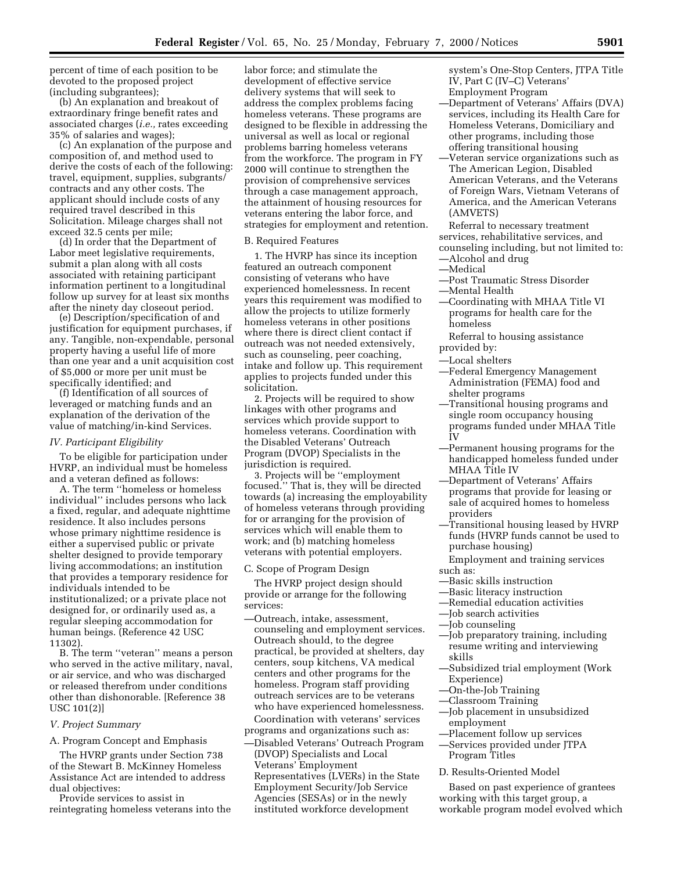percent of time of each position to be devoted to the proposed project (including subgrantees);

(b) An explanation and breakout of extraordinary fringe benefit rates and associated charges (*i.e.,* rates exceeding 35% of salaries and wages);

(c) An explanation of the purpose and composition of, and method used to derive the costs of each of the following: travel, equipment, supplies, subgrants/ contracts and any other costs. The applicant should include costs of any required travel described in this Solicitation. Mileage charges shall not exceed 32.5 cents per mile;

(d) In order that the Department of Labor meet legislative requirements, submit a plan along with all costs associated with retaining participant information pertinent to a longitudinal follow up survey for at least six months after the ninety day closeout period.

(e) Description/specification of and justification for equipment purchases, if any. Tangible, non-expendable, personal property having a useful life of more than one year and a unit acquisition cost of \$5,000 or more per unit must be specifically identified; and

(f) Identification of all sources of leveraged or matching funds and an explanation of the derivation of the value of matching/in-kind Services.

#### *IV. Participant Eligibility*

To be eligible for participation under HVRP, an individual must be homeless and a veteran defined as follows:

A. The term ''homeless or homeless individual'' includes persons who lack a fixed, regular, and adequate nighttime residence. It also includes persons whose primary nighttime residence is either a supervised public or private shelter designed to provide temporary living accommodations; an institution that provides a temporary residence for individuals intended to be institutionalized; or a private place not designed for, or ordinarily used as, a regular sleeping accommodation for human beings. (Reference 42 USC 11302).

B. The term ''veteran'' means a person who served in the active military, naval, or air service, and who was discharged or released therefrom under conditions other than dishonorable. [Reference 38 USC 101(2)]

#### *V. Project Summary*

A. Program Concept and Emphasis

The HVRP grants under Section 738 of the Stewart B. McKinney Homeless Assistance Act are intended to address dual objectives:

Provide services to assist in reintegrating homeless veterans into the

labor force; and stimulate the development of effective service delivery systems that will seek to address the complex problems facing homeless veterans. These programs are designed to be flexible in addressing the universal as well as local or regional problems barring homeless veterans from the workforce. The program in FY 2000 will continue to strengthen the provision of comprehensive services through a case management approach, the attainment of housing resources for veterans entering the labor force, and strategies for employment and retention.

## B. Required Features

1. The HVRP has since its inception featured an outreach component consisting of veterans who have experienced homelessness. In recent years this requirement was modified to allow the projects to utilize formerly homeless veterans in other positions where there is direct client contact if outreach was not needed extensively, such as counseling, peer coaching, intake and follow up. This requirement applies to projects funded under this solicitation.

2. Projects will be required to show linkages with other programs and services which provide support to homeless veterans. Coordination with the Disabled Veterans' Outreach Program (DVOP) Specialists in the jurisdiction is required.

3. Projects will be ''employment focused.'' That is, they will be directed towards (a) increasing the employability of homeless veterans through providing for or arranging for the provision of services which will enable them to work; and (b) matching homeless veterans with potential employers.

C. Scope of Program Design

The HVRP project design should provide or arrange for the following services:

- —Outreach, intake, assessment, counseling and employment services. Outreach should, to the degree practical, be provided at shelters, day centers, soup kitchens, VA medical centers and other programs for the homeless. Program staff providing outreach services are to be veterans who have experienced homelessness. Coordination with veterans' services programs and organizations such as:
- —Disabled Veterans' Outreach Program (DVOP) Specialists and Local Veterans' Employment Representatives (LVERs) in the State Employment Security/Job Service Agencies (SESAs) or in the newly instituted workforce development

system's One-Stop Centers, JTPA Title IV, Part C (IV–C) Veterans' Employment Program

- —Department of Veterans' Affairs (DVA) services, including its Health Care for Homeless Veterans, Domiciliary and other programs, including those offering transitional housing
- —Veteran service organizations such as The American Legion, Disabled American Veterans, and the Veterans of Foreign Wars, Vietnam Veterans of America, and the American Veterans (AMVETS)

Referral to necessary treatment services, rehabilitative services, and counseling including, but not limited to:

- —Alcohol and drug
- —Medical
- —Post Traumatic Stress Disorder —Mental Health
- —Coordinating with MHAA Title VI programs for health care for the homeless

Referral to housing assistance provided by:

- —Local shelters
- —Federal Emergency Management Administration (FEMA) food and shelter programs
- —Transitional housing programs and single room occupancy housing programs funded under MHAA Title IV
- —Permanent housing programs for the handicapped homeless funded under MHAA Title IV
- —Department of Veterans' Affairs programs that provide for leasing or sale of acquired homes to homeless providers
- —Transitional housing leased by HVRP funds (HVRP funds cannot be used to purchase housing)
- Employment and training services
- such as:
- —Basic skills instruction
- —Basic literacy instruction
- —Remedial education activities
- —Job search activities
- —Job counseling
- —Job preparatory training, including resume writing and interviewing skills
- —Subsidized trial employment (Work Experience)
- —On-the-Job Training
- —Classroom Training
- —Job placement in unsubsidized employment
- —Placement follow up services
- —Services provided under JTPA Program Titles
- D. Results-Oriented Model

Based on past experience of grantees working with this target group, a workable program model evolved which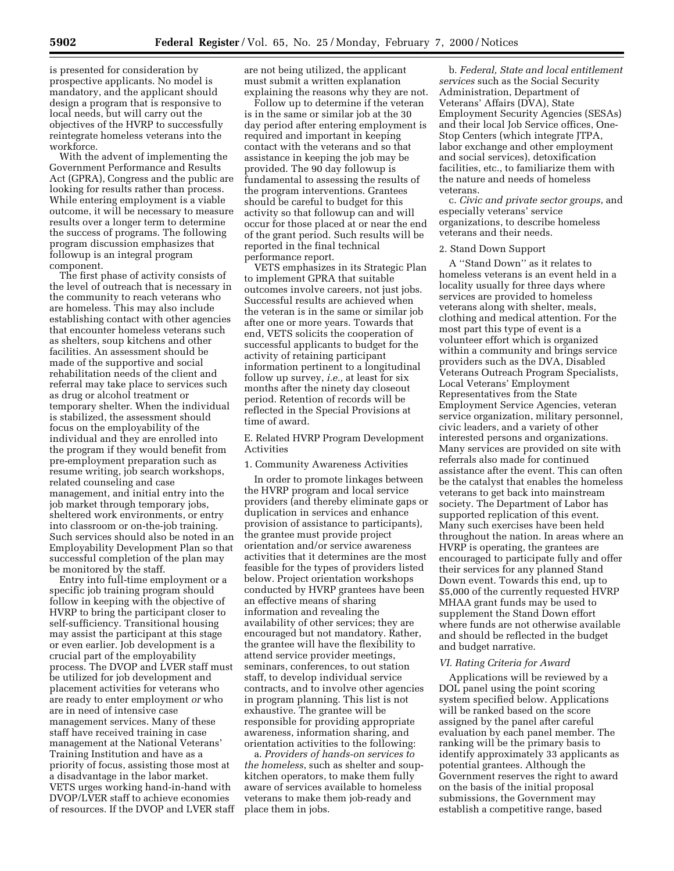is presented for consideration by prospective applicants. No model is mandatory, and the applicant should design a program that is responsive to local needs, but will carry out the objectives of the HVRP to successfully reintegrate homeless veterans into the workforce.

With the advent of implementing the Government Performance and Results Act (GPRA), Congress and the public are looking for results rather than process. While entering employment is a viable outcome, it will be necessary to measure results over a longer term to determine the success of programs. The following program discussion emphasizes that followup is an integral program component.

The first phase of activity consists of the level of outreach that is necessary in the community to reach veterans who are homeless. This may also include establishing contact with other agencies that encounter homeless veterans such as shelters, soup kitchens and other facilities. An assessment should be made of the supportive and social rehabilitation needs of the client and referral may take place to services such as drug or alcohol treatment or temporary shelter. When the individual is stabilized, the assessment should focus on the employability of the individual and they are enrolled into the program if they would benefit from pre-employment preparation such as resume writing, job search workshops, related counseling and case management, and initial entry into the job market through temporary jobs, sheltered work environments, or entry into classroom or on-the-job training. Such services should also be noted in an Employability Development Plan so that successful completion of the plan may be monitored by the staff.

Entry into full-time employment or a specific job training program should follow in keeping with the objective of HVRP to bring the participant closer to self-sufficiency. Transitional housing may assist the participant at this stage or even earlier. Job development is a crucial part of the employability process. The DVOP and LVER staff must be utilized for job development and placement activities for veterans who are ready to enter employment *or* who are in need of intensive case management services. Many of these staff have received training in case management at the National Veterans' Training Institution and have as a priority of focus, assisting those most at a disadvantage in the labor market. VETS urges working hand-in-hand with DVOP/LVER staff to achieve economies of resources. If the DVOP and LVER staff are not being utilized, the applicant must submit a written explanation explaining the reasons why they are not.

Follow up to determine if the veteran is in the same or similar job at the 30 day period after entering employment is required and important in keeping contact with the veterans and so that assistance in keeping the job may be provided. The 90 day followup is fundamental to assessing the results of the program interventions. Grantees should be careful to budget for this activity so that followup can and will occur for those placed at or near the end of the grant period. Such results will be reported in the final technical performance report.

VETS emphasizes in its Strategic Plan to implement GPRA that suitable outcomes involve careers, not just jobs. Successful results are achieved when the veteran is in the same or similar job after one or more years. Towards that end, VETS solicits the cooperation of successful applicants to budget for the activity of retaining participant information pertinent to a longitudinal follow up survey, *i.e.,* at least for six months after the ninety day closeout period. Retention of records will be reflected in the Special Provisions at time of award.

E. Related HVRP Program Development Activities

1. Community Awareness Activities

In order to promote linkages between the HVRP program and local service providers (and thereby eliminate gaps or duplication in services and enhance provision of assistance to participants), the grantee must provide project orientation and/or service awareness activities that it determines are the most feasible for the types of providers listed below. Project orientation workshops conducted by HVRP grantees have been an effective means of sharing information and revealing the availability of other services; they are encouraged but not mandatory. Rather, the grantee will have the flexibility to attend service provider meetings, seminars, conferences, to out station staff, to develop individual service contracts, and to involve other agencies in program planning. This list is not exhaustive. The grantee will be responsible for providing appropriate awareness, information sharing, and orientation activities to the following:

a. *Providers of hands-on services to the homeless*, such as shelter and soupkitchen operators, to make them fully aware of services available to homeless veterans to make them job-ready and place them in jobs.

b. *Federal, State and local entitlement services* such as the Social Security Administration, Department of Veterans' Affairs (DVA), State Employment Security Agencies (SESAs) and their local Job Service offices, One-Stop Centers (which integrate JTPA, labor exchange and other employment and social services), detoxification facilities, etc., to familiarize them with the nature and needs of homeless veterans.

c. *Civic and private sector groups*, and especially veterans' service organizations, to describe homeless veterans and their needs.

### 2. Stand Down Support

A ''Stand Down'' as it relates to homeless veterans is an event held in a locality usually for three days where services are provided to homeless veterans along with shelter, meals, clothing and medical attention. For the most part this type of event is a volunteer effort which is organized within a community and brings service providers such as the DVA, Disabled Veterans Outreach Program Specialists, Local Veterans' Employment Representatives from the State Employment Service Agencies, veteran service organization, military personnel, civic leaders, and a variety of other interested persons and organizations. Many services are provided on site with referrals also made for continued assistance after the event. This can often be the catalyst that enables the homeless veterans to get back into mainstream society. The Department of Labor has supported replication of this event. Many such exercises have been held throughout the nation. In areas where an HVRP is operating, the grantees are encouraged to participate fully and offer their services for any planned Stand Down event. Towards this end, up to \$5,000 of the currently requested HVRP MHAA grant funds may be used to supplement the Stand Down effort where funds are not otherwise available and should be reflected in the budget and budget narrative.

#### *VI. Rating Criteria for Award*

Applications will be reviewed by a DOL panel using the point scoring system specified below. Applications will be ranked based on the score assigned by the panel after careful evaluation by each panel member. The ranking will be the primary basis to identify approximately 33 applicants as potential grantees. Although the Government reserves the right to award on the basis of the initial proposal submissions, the Government may establish a competitive range, based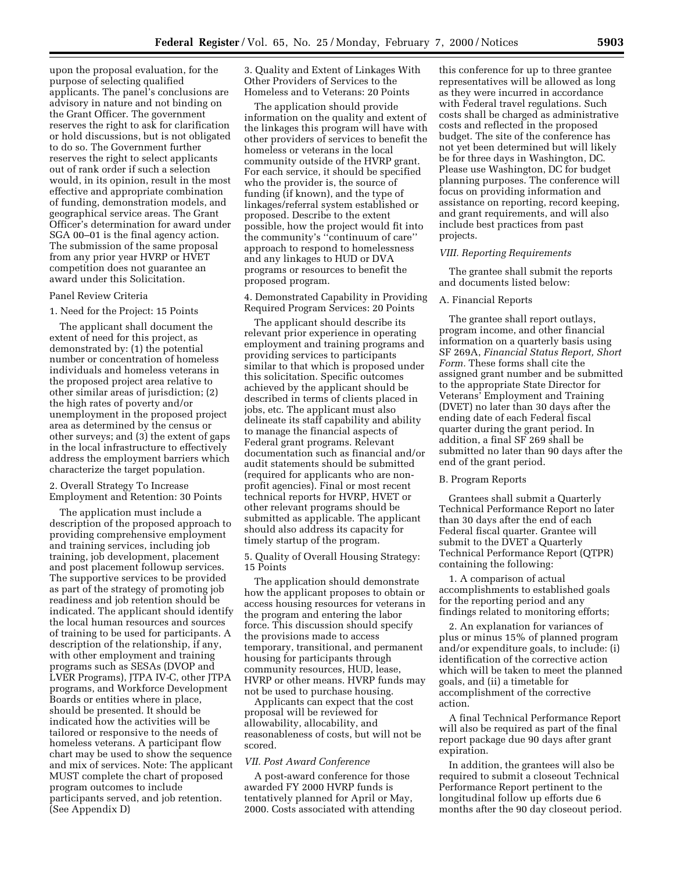upon the proposal evaluation, for the purpose of selecting qualified applicants. The panel's conclusions are advisory in nature and not binding on the Grant Officer. The government reserves the right to ask for clarification or hold discussions, but is not obligated to do so. The Government further reserves the right to select applicants out of rank order if such a selection would, in its opinion, result in the most effective and appropriate combination of funding, demonstration models, and geographical service areas. The Grant Officer's determination for award under SGA 00–01 is the final agency action. The submission of the same proposal from any prior year HVRP or HVET competition does not guarantee an award under this Solicitation.

#### Panel Review Criteria

#### 1. Need for the Project: 15 Points

The applicant shall document the extent of need for this project, as demonstrated by: (1) the potential number or concentration of homeless individuals and homeless veterans in the proposed project area relative to other similar areas of jurisdiction; (2) the high rates of poverty and/or unemployment in the proposed project area as determined by the census or other surveys; and (3) the extent of gaps in the local infrastructure to effectively address the employment barriers which characterize the target population.

## 2. Overall Strategy To Increase Employment and Retention: 30 Points

The application must include a description of the proposed approach to providing comprehensive employment and training services, including job training, job development, placement and post placement followup services. The supportive services to be provided as part of the strategy of promoting job readiness and job retention should be indicated. The applicant should identify the local human resources and sources of training to be used for participants. A description of the relationship, if any, with other employment and training programs such as SESAs (DVOP and LVER Programs), JTPA IV-C, other JTPA programs, and Workforce Development Boards or entities where in place, should be presented. It should be indicated how the activities will be tailored or responsive to the needs of homeless veterans. A participant flow chart may be used to show the sequence and mix of services. Note: The applicant MUST complete the chart of proposed program outcomes to include participants served, and job retention. (See Appendix D)

3. Quality and Extent of Linkages With Other Providers of Services to the Homeless and to Veterans: 20 Points

The application should provide information on the quality and extent of the linkages this program will have with other providers of services to benefit the homeless or veterans in the local community outside of the HVRP grant. For each service, it should be specified who the provider is, the source of funding (if known), and the type of linkages/referral system established or proposed. Describe to the extent possible, how the project would fit into the community's ''continuum of care'' approach to respond to homelessness and any linkages to HUD or DVA programs or resources to benefit the proposed program.

4. Demonstrated Capability in Providing Required Program Services: 20 Points

The applicant should describe its relevant prior experience in operating employment and training programs and providing services to participants similar to that which is proposed under this solicitation. Specific outcomes achieved by the applicant should be described in terms of clients placed in jobs, etc. The applicant must also delineate its staff capability and ability to manage the financial aspects of Federal grant programs. Relevant documentation such as financial and/or audit statements should be submitted (required for applicants who are nonprofit agencies). Final or most recent technical reports for HVRP, HVET or other relevant programs should be submitted as applicable. The applicant should also address its capacity for timely startup of the program.

5. Quality of Overall Housing Strategy: 15 Points

The application should demonstrate how the applicant proposes to obtain or access housing resources for veterans in the program and entering the labor force. This discussion should specify the provisions made to access temporary, transitional, and permanent housing for participants through community resources, HUD, lease, HVRP or other means. HVRP funds may not be used to purchase housing.

Applicants can expect that the cost proposal will be reviewed for allowability, allocability, and reasonableness of costs, but will not be scored.

#### *VII. Post Award Conference*

A post-award conference for those awarded FY 2000 HVRP funds is tentatively planned for April or May, 2000. Costs associated with attending

this conference for up to three grantee representatives will be allowed as long as they were incurred in accordance with Federal travel regulations. Such costs shall be charged as administrative costs and reflected in the proposed budget. The site of the conference has not yet been determined but will likely be for three days in Washington, DC. Please use Washington, DC for budget planning purposes. The conference will focus on providing information and assistance on reporting, record keeping, and grant requirements, and will also include best practices from past projects.

## *VIII. Reporting Requirements*

The grantee shall submit the reports and documents listed below:

#### A. Financial Reports

The grantee shall report outlays, program income, and other financial information on a quarterly basis using SF 269A, *Financial Status Report, Short Form.* These forms shall cite the assigned grant number and be submitted to the appropriate State Director for Veterans' Employment and Training (DVET) no later than 30 days after the ending date of each Federal fiscal quarter during the grant period. In addition, a final SF 269 shall be submitted no later than 90 days after the end of the grant period.

## B. Program Reports

Grantees shall submit a Quarterly Technical Performance Report no later than 30 days after the end of each Federal fiscal quarter. Grantee will submit to the DVET a Quarterly Technical Performance Report (QTPR) containing the following:

1. A comparison of actual accomplishments to established goals for the reporting period and any findings related to monitoring efforts;

2. An explanation for variances of plus or minus 15% of planned program and/or expenditure goals, to include: (i) identification of the corrective action which will be taken to meet the planned goals, and (ii) a timetable for accomplishment of the corrective action.

A final Technical Performance Report will also be required as part of the final report package due 90 days after grant expiration.

In addition, the grantees will also be required to submit a closeout Technical Performance Report pertinent to the longitudinal follow up efforts due 6 months after the 90 day closeout period.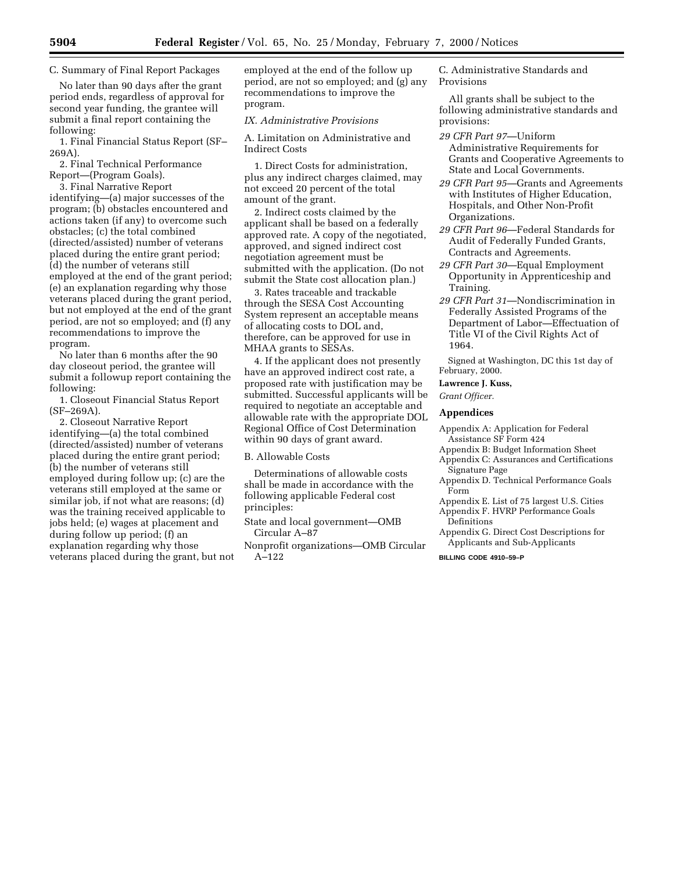## C. Summary of Final Report Packages

No later than 90 days after the grant period ends, regardless of approval for second year funding, the grantee will submit a final report containing the following:

1. Final Financial Status Report (SF– 269A).

2. Final Technical Performance Report—(Program Goals).

3. Final Narrative Report identifying—(a) major successes of the program; (b) obstacles encountered and actions taken (if any) to overcome such obstacles; (c) the total combined (directed/assisted) number of veterans placed during the entire grant period; (d) the number of veterans still employed at the end of the grant period; (e) an explanation regarding why those veterans placed during the grant period, but not employed at the end of the grant period, are not so employed; and (f) any recommendations to improve the program.

No later than 6 months after the 90 day closeout period, the grantee will submit a followup report containing the following:

1. Closeout Financial Status Report (SF–269A).

2. Closeout Narrative Report identifying—(a) the total combined (directed/assisted) number of veterans placed during the entire grant period; (b) the number of veterans still employed during follow up; (c) are the veterans still employed at the same or similar job, if not what are reasons; (d) was the training received applicable to jobs held; (e) wages at placement and during follow up period; (f) an explanation regarding why those veterans placed during the grant, but not employed at the end of the follow up period, are not so employed; and (g) any recommendations to improve the program.

#### *IX. Administrative Provisions*

A. Limitation on Administrative and Indirect Costs

1. Direct Costs for administration, plus any indirect charges claimed, may not exceed 20 percent of the total amount of the grant.

2. Indirect costs claimed by the applicant shall be based on a federally approved rate. A copy of the negotiated, approved, and signed indirect cost negotiation agreement must be submitted with the application. (Do not submit the State cost allocation plan.)

3. Rates traceable and trackable through the SESA Cost Accounting System represent an acceptable means of allocating costs to DOL and, therefore, can be approved for use in MHAA grants to SESAs.

4. If the applicant does not presently have an approved indirect cost rate, a proposed rate with justification may be submitted. Successful applicants will be required to negotiate an acceptable and allowable rate with the appropriate DOL Regional Office of Cost Determination within 90 days of grant award.

### B. Allowable Costs

Determinations of allowable costs shall be made in accordance with the following applicable Federal cost principles:

State and local government—OMB Circular A–87

Nonprofit organizations—OMB Circular A–122

C. Administrative Standards and Provisions

All grants shall be subject to the following administrative standards and provisions:

- *29 CFR Part 97*—Uniform Administrative Requirements for Grants and Cooperative Agreements to State and Local Governments.
- *29 CFR Part 95*—Grants and Agreements with Institutes of Higher Education, Hospitals, and Other Non-Profit Organizations.
- *29 CFR Part 96*—Federal Standards for Audit of Federally Funded Grants, Contracts and Agreements.
- *29 CFR Part 30*—Equal Employment Opportunity in Apprenticeship and Training.
- *29 CFR Part 31*—Nondiscrimination in Federally Assisted Programs of the Department of Labor—Effectuation of Title VI of the Civil Rights Act of 1964.

Signed at Washington, DC this 1st day of February, 2000.

**Lawrence J. Kuss,**

*Grant Officer.*

## **Appendices**

Appendix A: Application for Federal Assistance SF Form 424

- Appendix B: Budget Information Sheet
- Appendix C: Assurances and Certifications Signature Page
- Appendix D. Technical Performance Goals Form
- Appendix E. List of 75 largest U.S. Cities Appendix F. HVRP Performance Goals
- Definitions Appendix G. Direct Cost Descriptions for Applicants and Sub-Applicants

**BILLING CODE 4910–59–P**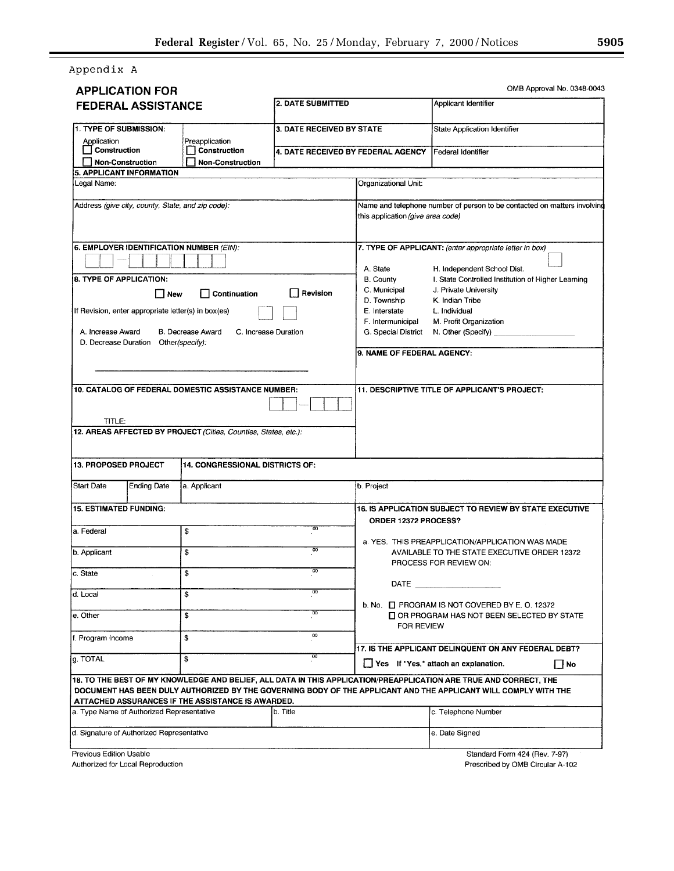Appendix A

| <b>APPLICATION FOR</b>                                                                         |                                          |                                    |                                                                                              | OMB Approval No. 0348-0043                                                                                                                                                                                                                    |
|------------------------------------------------------------------------------------------------|------------------------------------------|------------------------------------|----------------------------------------------------------------------------------------------|-----------------------------------------------------------------------------------------------------------------------------------------------------------------------------------------------------------------------------------------------|
| 2. DATE SUBMITTED<br><b>FEDERAL ASSISTANCE</b>                                                 |                                          |                                    | Applicant Identifier                                                                         |                                                                                                                                                                                                                                               |
| 1. TYPE OF SUBMISSION:<br>Application                                                          | Preapplication                           | 3. DATE RECEIVED BY STATE          |                                                                                              | State Application Identifier                                                                                                                                                                                                                  |
| Construction<br>Non-Construction<br>5. APPLICANT INFORMATION                                   | Construction<br>Non-Construction         | 4. DATE RECEIVED BY FEDERAL AGENCY |                                                                                              | Federal Identifier                                                                                                                                                                                                                            |
| Legal Name:                                                                                    |                                          |                                    | Organizational Unit:                                                                         |                                                                                                                                                                                                                                               |
| Address (give city, county, State, and zip code):                                              |                                          |                                    | this application (give area code)                                                            | Name and telephone number of person to be contacted on matters involving                                                                                                                                                                      |
| 6. EMPLOYER IDENTIFICATION NUMBER (EIN):                                                       |                                          |                                    | A. State                                                                                     | 7. TYPE OF APPLICANT: (enter appropriate letter in box)<br>H. Independent School Dist.                                                                                                                                                        |
| 8. TYPE OF APPLICATION:                                                                        |                                          |                                    | <b>B.</b> County<br>C. Municipal                                                             | I. State Controlled Institution of Higher Learning<br>J. Private University                                                                                                                                                                   |
| Γ∣ New<br>If Revision, enter appropriate letter(s) in box(es)<br>A. Increase Award             | Continuation<br><b>B.</b> Decrease Award | Revision<br>C. Increase Duration   | D. Township<br>E. Interstate<br>F. Intermunicipal<br>G. Special District                     | K. Indian Tribe<br>L. Individual<br>M. Profit Organization<br>N. Other (Specify)                                                                                                                                                              |
| D. Decrease Duration                                                                           | Other(specify):                          |                                    | 9. NAME OF FEDERAL AGENCY:                                                                   |                                                                                                                                                                                                                                               |
| 10. CATALOG OF FEDERAL DOMESTIC ASSISTANCE NUMBER:<br>TITLE:                                   |                                          |                                    |                                                                                              | 11. DESCRIPTIVE TITLE OF APPLICANT'S PROJECT:                                                                                                                                                                                                 |
| 13. PROPOSED PROJECT<br><b>Ending Date</b><br><b>Start Date</b>                                | 14. CONGRESSIONAL DISTRICTS OF:          |                                    |                                                                                              |                                                                                                                                                                                                                                               |
|                                                                                                | a. Applicant                             |                                    | ∤b. Project                                                                                  |                                                                                                                                                                                                                                               |
| <b>15. ESTIMATED FUNDING:</b>                                                                  |                                          |                                    | ORDER 12372 PROCESS?                                                                         | 16. IS APPLICATION SUBJECT TO REVIEW BY STATE EXECUTIVE                                                                                                                                                                                       |
| a Federal<br>b. Applicant                                                                      | \$<br>\$                                 | 00<br>$\overline{00}$              |                                                                                              | a. YES. THIS PREAPPLICATION/APPLICATION WAS MADE<br>AVAILABLE TO THE STATE EXECUTIVE ORDER 12372                                                                                                                                              |
| c. State                                                                                       | \$                                       | 00                                 |                                                                                              | PROCESS FOR REVIEW ON:                                                                                                                                                                                                                        |
| d. Local                                                                                       | \$                                       | 00                                 | DATE                                                                                         |                                                                                                                                                                                                                                               |
| e. Other                                                                                       | \$                                       | $\overline{00}$                    |                                                                                              | b. No. $\Box$ PROGRAM IS NOT COVERED BY E. O. 12372<br>OR PROGRAM HAS NOT BEEN SELECTED BY STATE                                                                                                                                              |
| f. Program Income                                                                              | \$                                       | OO                                 | FOR REVIEW                                                                                   |                                                                                                                                                                                                                                               |
| g. TOTAL                                                                                       | \$                                       | $\overline{00}$                    | 17. IS THE APPLICANT DELINQUENT ON ANY FEDERAL DEBT?<br>Yes If "Yes," attach an explanation. |                                                                                                                                                                                                                                               |
|                                                                                                |                                          |                                    |                                                                                              | │ │No<br>18. TO THE BEST OF MY KNOWLEDGE AND BELIEF, ALL DATA IN THIS APPLICATION/PREAPPLICATION ARE TRUE AND CORRECT, THE<br>DOCUMENT HAS BEEN DULY AUTHORIZED BY THE GOVERNING BODY OF THE APPLICANT AND THE APPLICANT WILL COMPLY WITH THE |
| ATTACHED ASSURANCES IF THE ASSISTANCE IS AWARDED.<br>a. Type Name of Authorized Representative |                                          | b. Title                           |                                                                                              | c. Telephone Number                                                                                                                                                                                                                           |
|                                                                                                |                                          |                                    |                                                                                              |                                                                                                                                                                                                                                               |
| d. Signature of Authorized Representative                                                      |                                          |                                    |                                                                                              | e. Date Signed                                                                                                                                                                                                                                |

Authorized for Local Reproduction

Prescribed by OMB Circular A-102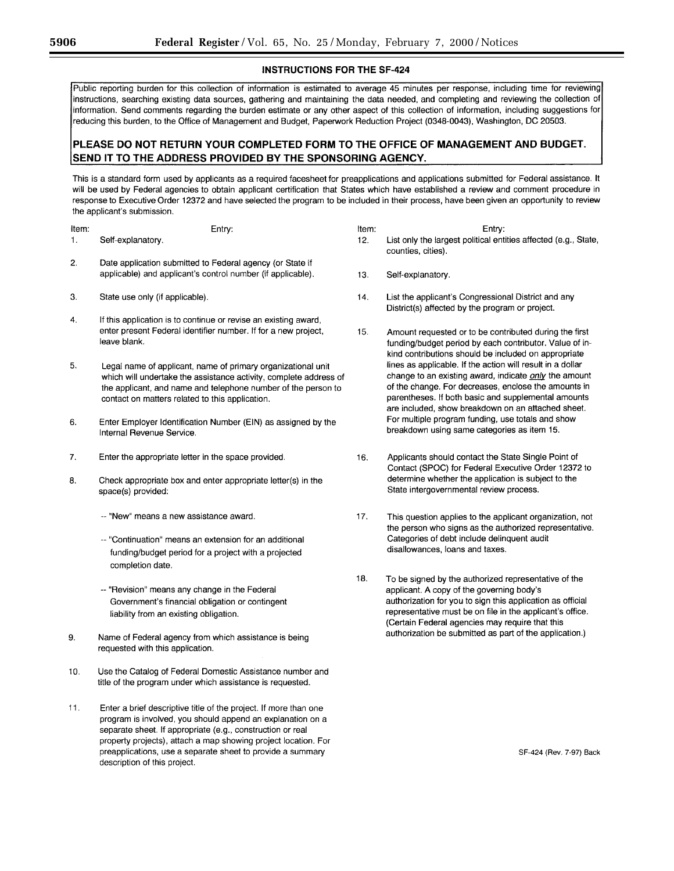## **INSTRUCTIONS FOR THE SF-424**

Public reporting burden for this collection of information is estimated to average 45 minutes per response, including time for reviewing instructions, searching existing data sources, gathering and maintaining the data needed, and completing and reviewing the collection of information. Send comments regarding the burden estimate or any other aspect of this collection of information, including suggestions for reducing this burden, to the Office of Management and Budget, Paperwork Reduction Project (0348-0043), Washington, DC 20503.

# PLEASE DO NOT RETURN YOUR COMPLETED FORM TO THE OFFICE OF MANAGEMENT AND BUDGET. SEND IT TO THE ADDRESS PROVIDED BY THE SPONSORING AGENCY.

This is a standard form used by applicants as a required facesheet for preapplications and applications submitted for Federal assistance. It will be used by Federal agencies to obtain applicant certification that States which have established a review and comment procedure in response to Executive Order 12372 and have selected the program to be included in their process, have been given an opportunity to review the applicant's submission.

| Item: |                   | Entry: |
|-------|-------------------|--------|
|       | Self-explanatory. |        |

- $2.$ Date application submitted to Federal agency (or State if applicable) and applicant's control number (if applicable).
- 3. State use only (if applicable).
- If this application is to continue or revise an existing award,  $\overline{4}$ . enter present Federal identifier number. If for a new project, leave blank.
- 5. Legal name of applicant, name of primary organizational unit which will undertake the assistance activity, complete address of the applicant, and name and telephone number of the person to contact on matters related to this application.
- 6. Enter Employer Identification Number (EIN) as assigned by the Internal Revenue Service.
- $\overline{7}$ . Enter the appropriate letter in the space provided.
- 8. Check appropriate box and enter appropriate letter(s) in the space(s) provided:
	- -- "New" means a new assistance award.
	- -- "Continuation" means an extension for an additional funding/budget period for a project with a projected completion date.
	- -- "Revision" means any change in the Federal Government's financial obligation or contingent liability from an existing obligation.
- 9. Name of Federal agency from which assistance is being requested with this application.
- 10. Use the Catalog of Federal Domestic Assistance number and title of the program under which assistance is requested.
- $11.$ Enter a brief descriptive title of the project. If more than one program is involved, you should append an explanation on a separate sheet. If appropriate (e.g., construction or real property projects), attach a map showing project location. For preapplications, use a separate sheet to provide a summary description of this project.

| Item: | Entry:                                                                                |
|-------|---------------------------------------------------------------------------------------|
| 12.   | List only the largest political entities affected (e.g., State,<br>counties, cities). |

- 13. Self-explanatory.
- 14. List the applicant's Congressional District and any District(s) affected by the program or project.
- $15.$ Amount requested or to be contributed during the first funding/budget period by each contributor. Value of inkind contributions should be included on appropriate lines as applicable. If the action will result in a dollar change to an existing award, indicate only the amount of the change. For decreases, enclose the amounts in parentheses. If both basic and supplemental amounts are included, show breakdown on an attached sheet. For multiple program funding, use totals and show breakdown using same categories as item 15.
- 16. Applicants should contact the State Single Point of Contact (SPOC) for Federal Executive Order 12372 to determine whether the application is subject to the State intergovernmental review process.
- 17. This question applies to the applicant organization, not the person who signs as the authorized representative. Categories of debt include delinquent audit disallowances, loans and taxes.
- 18. To be signed by the authorized representative of the applicant. A copy of the governing body's authorization for you to sign this application as official representative must be on file in the applicant's office. (Certain Federal agencies may require that this authorization be submitted as part of the application.)

SF-424 (Rev. 7-97) Back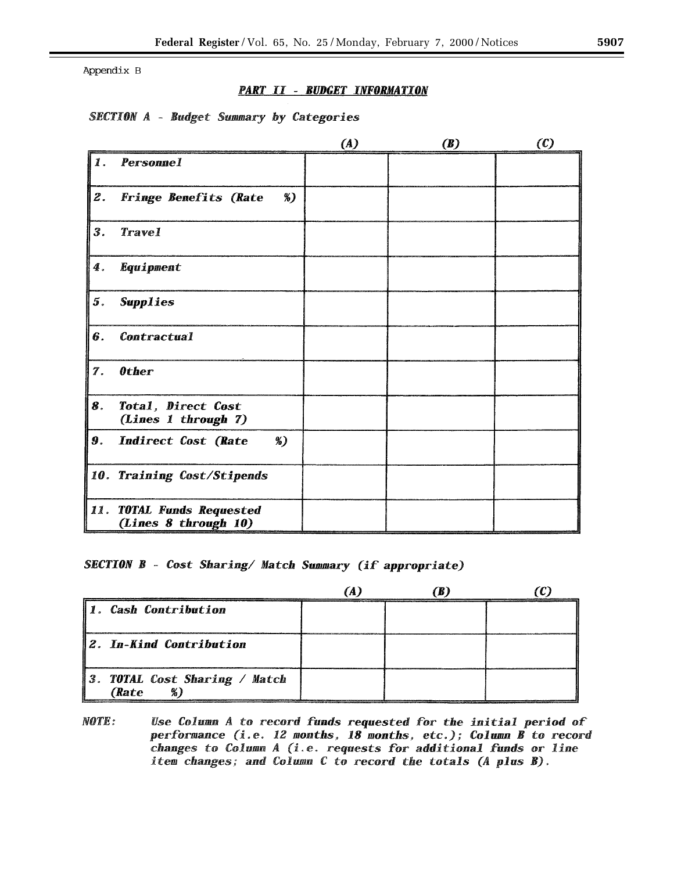Appendix B

# **PART II - BUDGET INFORMATION**

# **SECTION A - Budget Summary by Categories**

|                |                                                   | (A) | <b>(B)</b> | $\left( 0\right)$ |
|----------------|---------------------------------------------------|-----|------------|-------------------|
| 11.            | <b>Personnel</b>                                  |     |            |                   |
| $\mathcal Z$ . | $\%)$<br><b>Fringe Benefits (Rate</b>             |     |            |                   |
| $\mathbf{3}$ . | <b>Travel</b>                                     |     |            |                   |
| 4.             | Equipment                                         |     |            |                   |
| 5.             | <b>Supplies</b>                                   |     |            |                   |
| 6.             | <b>Contractual</b>                                |     |            |                   |
| 7.             | <b>Other</b>                                      |     |            |                   |
| 8.             | Total, Direct Cost<br>(Lines 1 through 7)         |     |            |                   |
| 9.             | $\mathcal{E}$<br><b>Indirect Cost (Rate</b>       |     |            |                   |
|                | 10. Training Cost/Stipends                        |     |            |                   |
|                | 11. TOTAL Funds Requested<br>(Lines 8 through 10) |     |            |                   |

**SECTION B - Cost Sharing/ Match Summary (if appropriate)** 

| 1. Cash Contribution                   |  |  |
|----------------------------------------|--|--|
| 12. In-Kind Contribution               |  |  |
| 3. TOTAL Cost Sharing / Match<br>(Rate |  |  |

**NOTE:** Use Column A to record funds requested for the initial period of performance (i.e. 12 months, 18 months, etc.); Column B to record changes to Column A (i.e. requests for additional funds or line item changes; and Column C to record the totals (A plus B).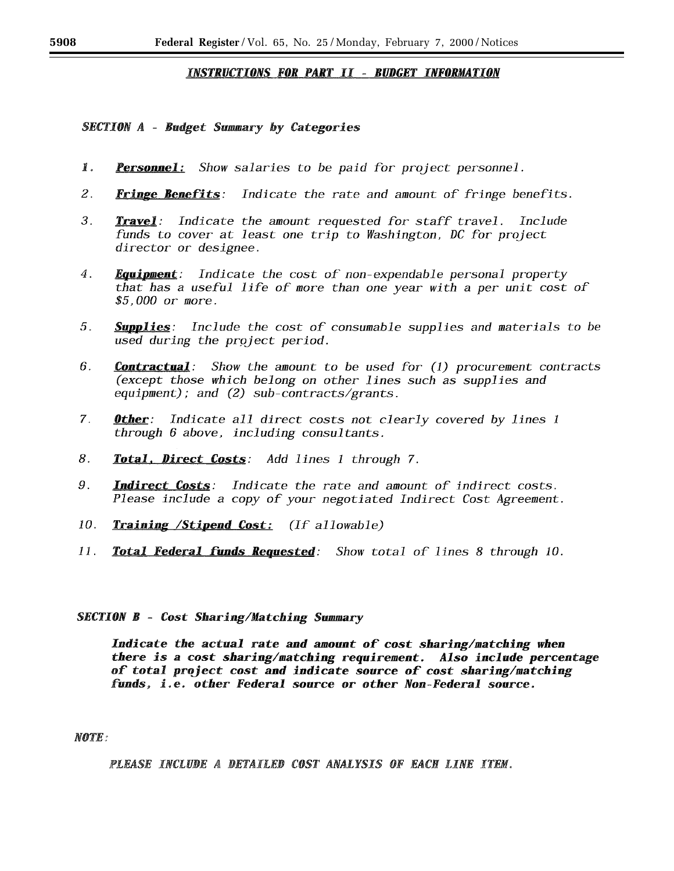# **INSTRUCTIONS FOR PART II - BUDGET INFORMATION**

# **SECTION A - Budget Summary by Categories**

- 1. **Personnel:** Show salaries to be paid for project personnel.
- 2. **Fringe Benefits**: Indicate the rate and amount of fringe benefits.
- 3. **Travel**: Indicate the amount requested for staff travel. Include funds to cover at least one trip to Washington, DC for project director or designee.
- $4.$ **Equipment**: Indicate the cost of non-expendable personal property that has a useful life of more than one year with a per unit cost of \$5,000 or more.
- **Supplies**: Include the cost of consumable supplies and materials to be 5. used during the project period.
- 6. **Contractual**: Show the amount to be used for (1) procurement contracts (except those which belong on other lines such as supplies and equipment); and  $(2)$  sub-contracts/grants.
- Other: 7. Indicate all direct costs not clearly covered by lines 1 through 6 above, including consultants.
- 8. Total, Direct Costs: Add lines 1 through 7.
- 9. **Indirect Costs**: Indicate the rate and amount of indirect costs. Please include a copy of your negotiated Indirect Cost Agreement.
- 10. **Training /Stipend Cost:** (If allowable)
- $11.$ **Total Federal funds Requested:** Show total of lines 8 through 10.

# **SECTION B - Cost Sharing/Matching Summary**

Indicate the actual rate and amount of cost sharing/matching when there is a cost sharing/matching requirement. Also include percentage of total project cost and indicate source of cost sharing/matching funds, i.e. other Federal source or other Non-Federal source.

## **NOTE:**

PLEASE INCLUDE A DETAILED COST ANALYSIS OF EACH LINE ITEM.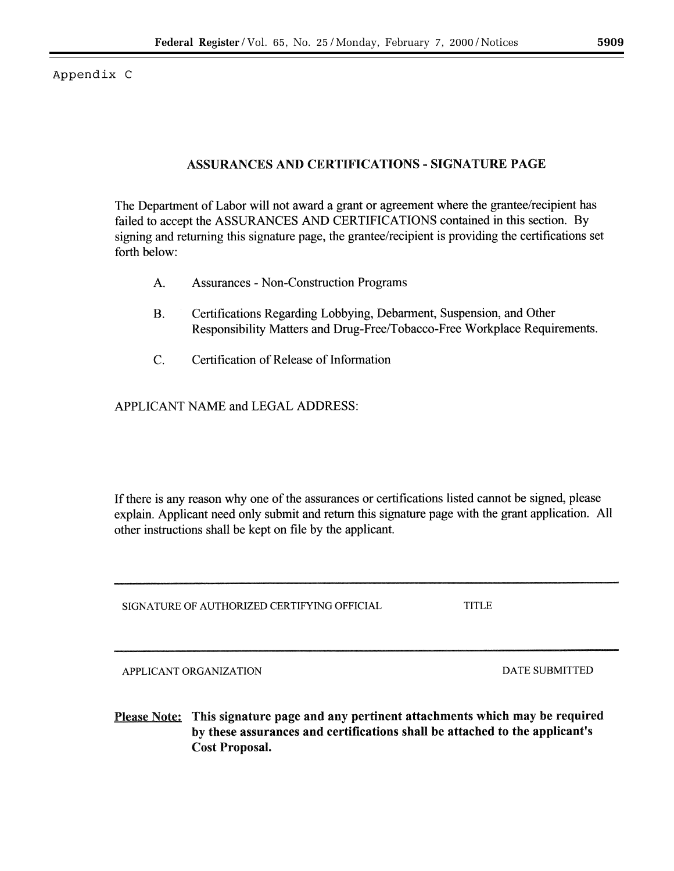Appendix C

# **ASSURANCES AND CERTIFICATIONS - SIGNATURE PAGE**

The Department of Labor will not award a grant or agreement where the grantee/recipient has failed to accept the ASSURANCES AND CERTIFICATIONS contained in this section. By signing and returning this signature page, the grantee/recipient is providing the certifications set forth below:

- A. **Assurances - Non-Construction Programs**
- **B.** Certifications Regarding Lobbying, Debarment, Suspension, and Other Responsibility Matters and Drug-Free/Tobacco-Free Workplace Requirements.
- $\overline{C}$ . Certification of Release of Information

APPLICANT NAME and LEGAL ADDRESS:

If there is any reason why one of the assurances or certifications listed cannot be signed, please explain. Applicant need only submit and return this signature page with the grant application. All other instructions shall be kept on file by the applicant.

SIGNATURE OF AUTHORIZED CERTIFYING OFFICIAL

**TITLE** 

APPLICANT ORGANIZATION

**DATE SUBMITTED** 

Please Note: This signature page and any pertinent attachments which may be required by these assurances and certifications shall be attached to the applicant's **Cost Proposal.**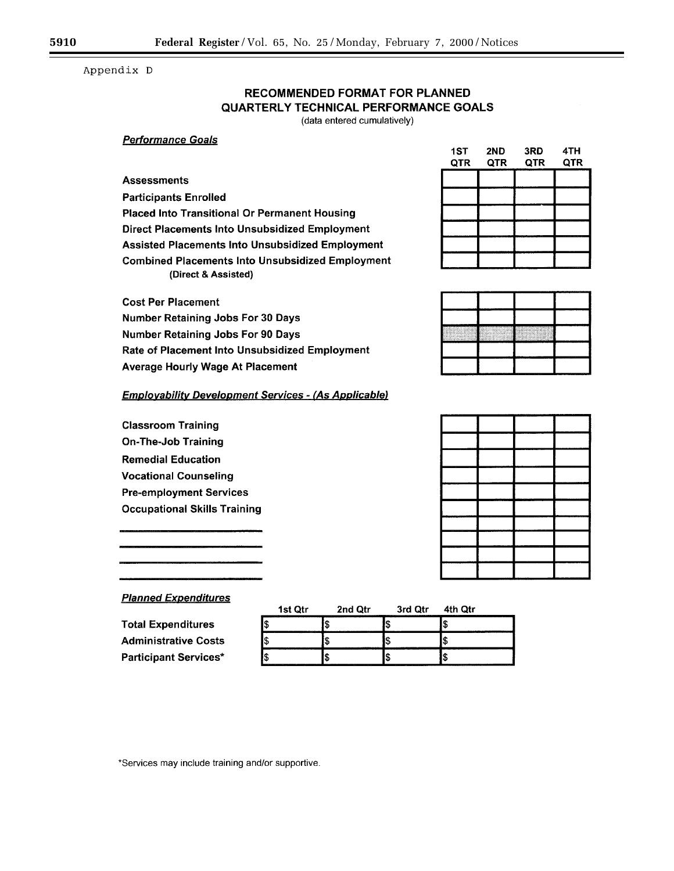Appendix D

# **RECOMMENDED FORMAT FOR PLANNED** QUARTERLY TECHNICAL PERFORMANCE GOALS

(data entered cumulatively)

## **Performance Goals**

# **Assessments**

**Participants Enrolled** 

**Placed Into Transitional Or Permanent Housing** Direct Placements Into Unsubsidized Employment **Assisted Placements Into Unsubsidized Employment Combined Placements Into Unsubsidized Employment** (Direct & Assisted)

| 151<br>QTR | ZND<br>QTR | SKD<br>QTR | 4 I M<br>QTR |
|------------|------------|------------|--------------|
|            |            |            |              |
|            |            |            |              |
|            |            |            |              |
|            |            |            |              |
|            |            |            |              |
|            |            |            |              |

|   |              |     | -           |
|---|--------------|-----|-------------|
|   |              |     |             |
| c | P.<br>a mata | mit |             |
|   |              |     | ٠<br>٠<br>٠ |
|   |              |     |             |

| ____                               |                   | بالمنسخان واسبح وينوع المتناقل المتناقل | ______                                                                                                                                                                                                                               |
|------------------------------------|-------------------|-----------------------------------------|--------------------------------------------------------------------------------------------------------------------------------------------------------------------------------------------------------------------------------------|
| --                                 |                   | <u> an an am an an an an a</u>          | $\sim$                                                                                                                                                                                                                               |
| سيد                                |                   |                                         |                                                                                                                                                                                                                                      |
|                                    |                   | سمد                                     |                                                                                                                                                                                                                                      |
| ___                                |                   |                                         |                                                                                                                                                                                                                                      |
|                                    | - -               | ويوروهما                                |                                                                                                                                                                                                                                      |
| <del>manaza</del> na da            | والمساحلة<br>---- | ___                                     | <u> a shi ne shekara ta 1980 na matsayin a shekara ta 1980 na shekara ta 1980 na shekara ta 1980 na shekara ta 1980 na shekara ta 1980 na shekara ta 1980 na shekara ta 1980 na shekara ta 1980 na shekara ta 1980 na shekara ta</u> |
| <b>Service</b><br>the contract and | مسعد<br>------    | _______                                 |                                                                                                                                                                                                                                      |
| <u> Andrewski din American (</u>   | ________          |                                         | <u> Antonio de Alemania de Alemania de Alem</u>                                                                                                                                                                                      |
| المكافئة والقرور فينقص             |                   |                                         | ____________                                                                                                                                                                                                                         |
|                                    |                   |                                         |                                                                                                                                                                                                                                      |

# **Cost Per Placement Number Retaining Jobs For 30 Days Number Retaining Jobs For 90 Days** Rate of Placement Into Unsubsidized Employment **Average Hourly Wage At Placement**

# **Employability Development Services - (As Applicable)**

**Classroom Training On-The-Job Training Remedial Education Vocational Counseling Pre-employment Services Occupational Skills Training** 

# **Planned Expenditures**

| 1st Qtr<br>__ | 2nd Qtr                                    | 3rd Qtr<br> | 4th Qtr         |
|---------------|--------------------------------------------|-------------|-----------------|
|               | <b><i><u>Property Lines (2001)</u></i></b> |             | w               |
|               |                                            |             | ۰D              |
| --            | _______                                    | _________   | _______<br>---- |

**Total Expenditures Administrative Costs Participant Services\*** 

\*Services may include training and/or supportive.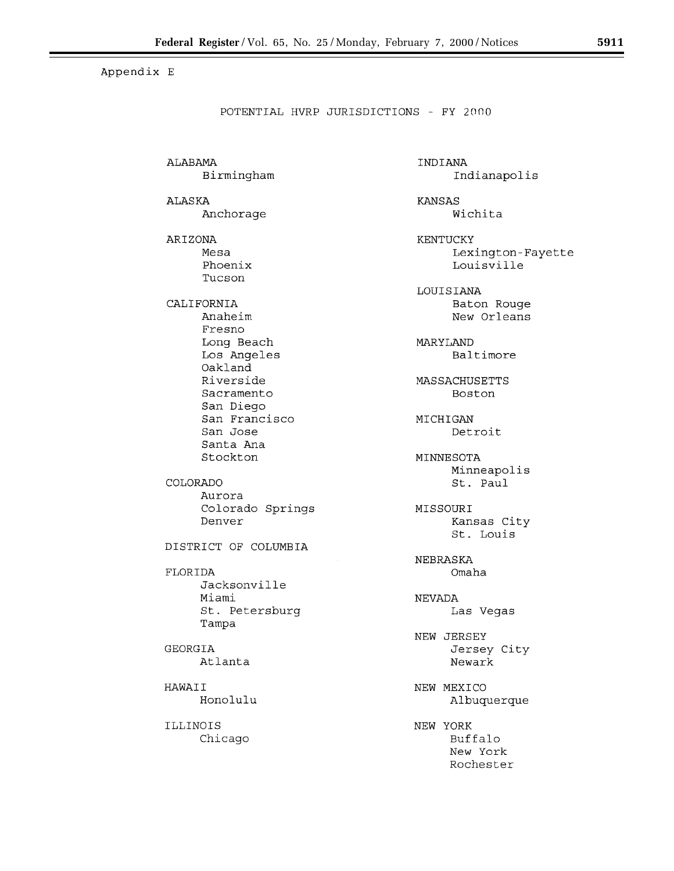Appendix E

POTENTIAL HVRP JURISDICTIONS - FY 2000

ALABAMA Birmingham ALASKA Anchorage ARIZONA Mesa Phoenix Tucson CALIFORNIA Anaheim Fresno Long Beach Los Angeles Oakland Riverside Sacramento San Diego San Francisco San Jose Santa Ana Stockton COLORADO Aurora Colorado Springs Denver DISTRICT OF COLUMBIA FLORIDA Jacksonville Miami St. Petersburg Tampa **GEORGIA** Atlanta HAWAII Honolulu ILLINOIS Chicago

INDIANA Indianapolis **KANSAS** Wichita

KENTUCKY Lexington-Fayette Louisville

LOUISIANA Baton Rouge New Orleans

MARYLAND Baltimore

MASSACHUSETTS Boston

MICHIGAN Detroit

MINNESOTA Minneapolis St. Paul

MISSOURI Kansas City St. Louis

NEBRASKA Omaha

**NEVADA** Las Vegas

NEW JERSEY Jersey City Newark

NEW MEXICO Albuquerque

NEW YORK Buffalo New York Rochester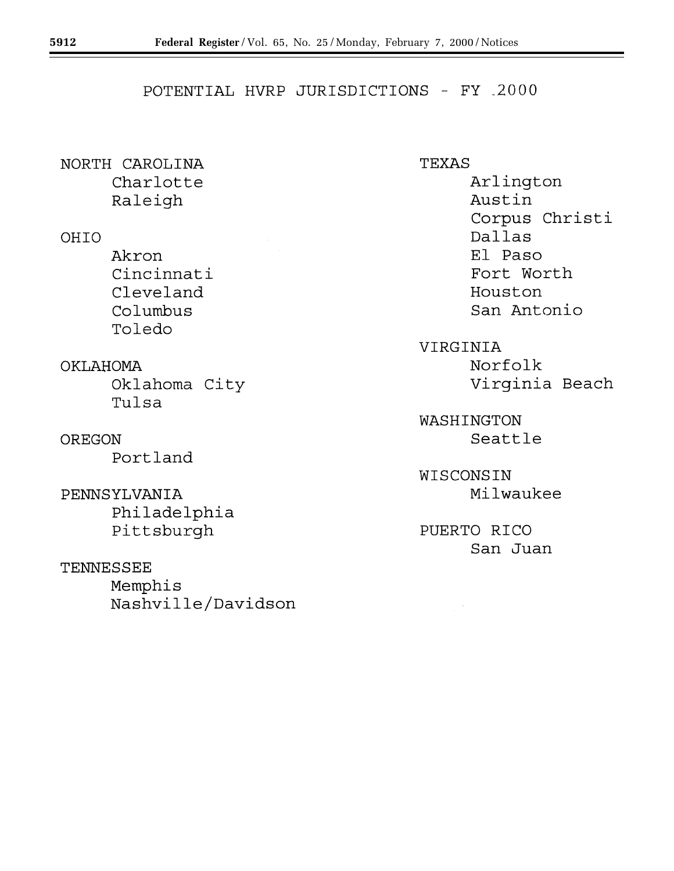# POTENTIAL HVRP JURISDICTIONS - FY 2000

NORTH CAROLINA Charlotte Raleigh

OHIO

- Akron Cincinnati Cleveland Columbus Toledo
- OKLAHOMA Oklahoma City Tulsa

OREGON

Portland

PENNSYLVANIA Philadelphia Pittsburgh

TENNESSEE

Memphis Nashville/Davidson TEXAS Arlington Austin Corpus Christi Dallas El Paso Fort Worth Houston San Antonio

VIRGINIA Norfolk Virginia Beach

WASHINGTON Seattle

WISCONSIN Milwaukee

PUERTO RICO San Juan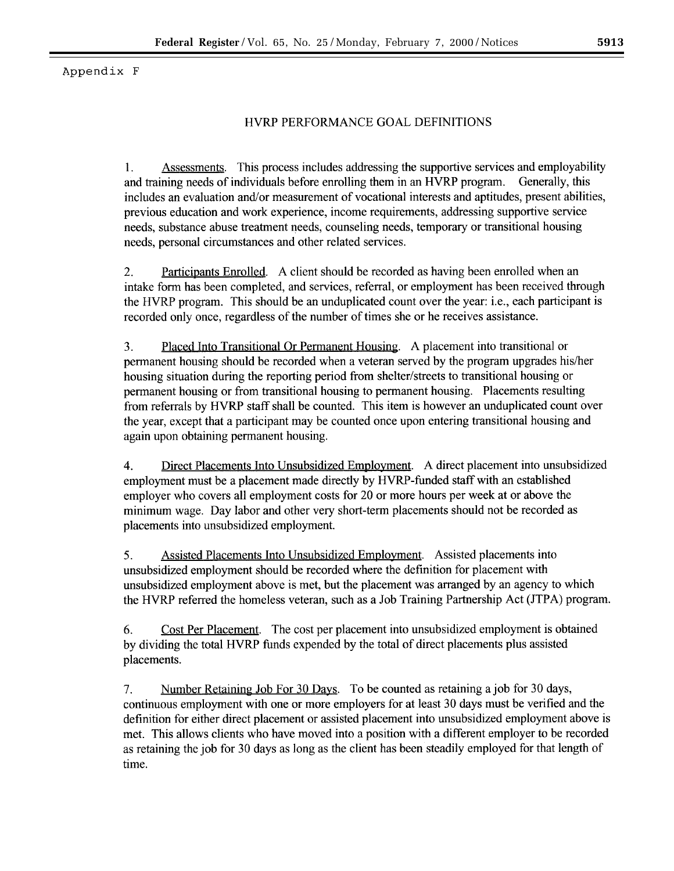Appendix F

# HVRP PERFORMANCE GOAL DEFINITIONS

Assessments. This process includes addressing the supportive services and employability 1. and training needs of individuals before enrolling them in an HVRP program. Generally, this includes an evaluation and/or measurement of vocational interests and aptitudes, present abilities, previous education and work experience, income requirements, addressing supportive service needs, substance abuse treatment needs, counseling needs, temporary or transitional housing needs, personal circumstances and other related services.

2. Participants Enrolled. A client should be recorded as having been enrolled when an intake form has been completed, and services, referral, or employment has been received through the HVRP program. This should be an unduplicated count over the year: i.e., each participant is recorded only once, regardless of the number of times she or he receives assistance.

3. Placed Into Transitional Or Permanent Housing. A placement into transitional or permanent housing should be recorded when a veteran served by the program upgrades his/her housing situation during the reporting period from shelter/streets to transitional housing or permanent housing or from transitional housing to permanent housing. Placements resulting from referrals by HVRP staff shall be counted. This item is however an unduplicated count over the year, except that a participant may be counted once upon entering transitional housing and again upon obtaining permanent housing.

4. Direct Placements Into Unsubsidized Employment. A direct placement into unsubsidized employment must be a placement made directly by HVRP-funded staff with an established employer who covers all employment costs for 20 or more hours per week at or above the minimum wage. Day labor and other very short-term placements should not be recorded as placements into unsubsidized employment.

5. Assisted Placements Into Unsubsidized Employment. Assisted placements into unsubsidized employment should be recorded where the definition for placement with unsubsidized employment above is met, but the placement was arranged by an agency to which the HVRP referred the homeless veteran, such as a Job Training Partnership Act (JTPA) program.

6. Cost Per Placement. The cost per placement into unsubsidized employment is obtained by dividing the total HVRP funds expended by the total of direct placements plus assisted placements.

7. Number Retaining Job For 30 Days. To be counted as retaining a job for 30 days, continuous employment with one or more employers for at least 30 days must be verified and the definition for either direct placement or assisted placement into unsubsidized employment above is met. This allows clients who have moved into a position with a different employer to be recorded as retaining the job for 30 days as long as the client has been steadily employed for that length of time.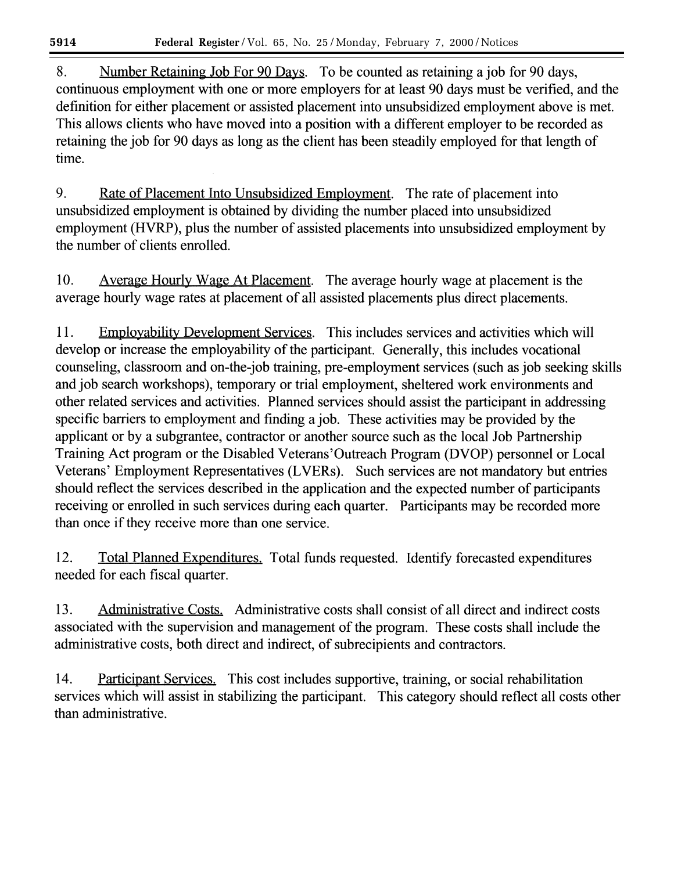8. Number Retaining Job For 90 Days. To be counted as retaining a job for 90 days, continuous employment with one or more employers for at least 90 days must be verified, and the definition for either placement or assisted placement into unsubsidized employment above is met. This allows clients who have moved into a position with a different employer to be recorded as retaining the job for 90 days as long as the client has been steadily employed for that length of time.

9. Rate of Placement Into Unsubsidized Employment. The rate of placement into unsubsidized employment is obtained by dividing the number placed into unsubsidized employment (HVRP), plus the number of assisted placements into unsubsidized employment by the number of clients enrolled.

 $10.$ Average Hourly Wage At Placement. The average hourly wage at placement is the average hourly wage rates at placement of all assisted placements plus direct placements.

11. Employability Development Services. This includes services and activities which will develop or increase the employability of the participant. Generally, this includes vocational counseling, classroom and on-the-job training, pre-employment services (such as job seeking skills and job search workshops), temporary or trial employment, sheltered work environments and other related services and activities. Planned services should assist the participant in addressing specific barriers to employment and finding a job. These activities may be provided by the applicant or by a subgrantee, contractor or another source such as the local Job Partnership Training Act program or the Disabled Veterans'Outreach Program (DVOP) personnel or Local Veterans' Employment Representatives (LVERs). Such services are not mandatory but entries should reflect the services described in the application and the expected number of participants receiving or enrolled in such services during each quarter. Participants may be recorded more than once if they receive more than one service.

12. Total Planned Expenditures. Total funds requested. Identify forecasted expenditures needed for each fiscal quarter.

13. Administrative Costs. Administrative costs shall consist of all direct and indirect costs associated with the supervision and management of the program. These costs shall include the administrative costs, both direct and indirect, of subrecipients and contractors.

14. Participant Services. This cost includes supportive, training, or social rehabilitation services which will assist in stabilizing the participant. This category should reflect all costs other than administrative.